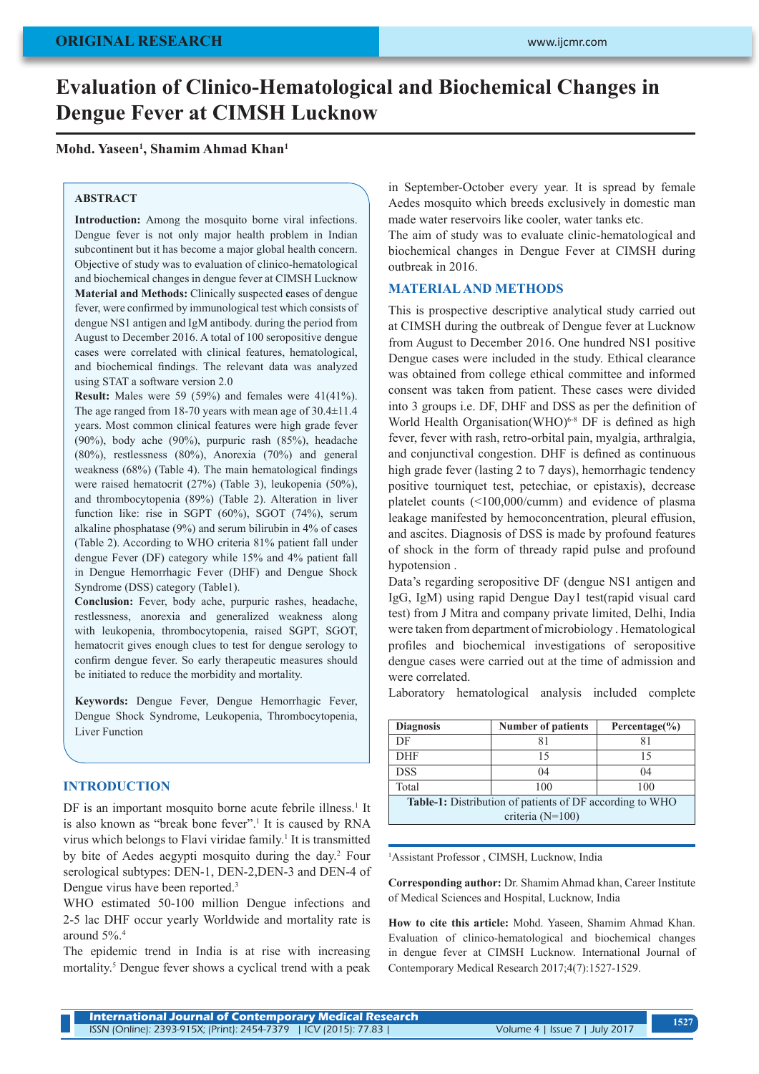# **Evaluation of Clinico-Hematological and Biochemical Changes in Dengue Fever at CIMSH Lucknow**

#### **Mohd. Yaseen1 , Shamim Ahmad Khan1**

#### **ABSTRACT**

**Introduction:** Among the mosquito borne viral infections. Dengue fever is not only major health problem in Indian subcontinent but it has become a major global health concern. Objective of study was to evaluation of clinico-hematological and biochemical changes in dengue fever at CIMSH Lucknow **Material and Methods:** Clinically suspected **c**ases of dengue fever, were confirmed by immunological test which consists of dengue NS1 antigen and IgM antibody. during the period from August to December 2016. A total of 100 seropositive dengue cases were correlated with clinical features, hematological, and biochemical findings. The relevant data was analyzed using STAT a software version 2.0

**Result:** Males were 59 (59%) and females were 41(41%). The age ranged from 18-70 years with mean age of 30.4±11.4 years. Most common clinical features were high grade fever (90%), body ache (90%), purpuric rash (85%), headache (80%), restlessness (80%), Anorexia (70%) and general weakness (68%) (Table 4). The main hematological findings were raised hematocrit (27%) (Table 3), leukopenia (50%), and thrombocytopenia (89%) (Table 2). Alteration in liver function like: rise in SGPT (60%), SGOT (74%), serum alkaline phosphatase (9%) and serum bilirubin in 4% of cases (Table 2). According to WHO criteria 81% patient fall under dengue Fever (DF) category while 15% and 4% patient fall in Dengue Hemorrhagic Fever (DHF) and Dengue Shock Syndrome (DSS) category (Table1).

**Conclusion:** Fever, body ache, purpuric rashes, headache, restlessness, anorexia and generalized weakness along with leukopenia, thrombocytopenia, raised SGPT, SGOT, hematocrit gives enough clues to test for dengue serology to confirm dengue fever. So early therapeutic measures should be initiated to reduce the morbidity and mortality.

**Keywords:** Dengue Fever, Dengue Hemorrhagic Fever, Dengue Shock Syndrome, Leukopenia, Thrombocytopenia, Liver Function

#### **INTRODUCTION**

DF is an important mosquito borne acute febrile illness.<sup>1</sup> It is also known as "break bone fever".<sup>1</sup> It is caused by RNA virus which belongs to Flavi viridae family.<sup>1</sup> It is transmitted by bite of Aedes aegypti mosquito during the day.<sup>2</sup> Four serological subtypes: DEN-1, DEN-2,DEN-3 and DEN-4 of Dengue virus have been reported.<sup>3</sup>

WHO estimated 50-100 million Dengue infections and 2-5 lac DHF occur yearly Worldwide and mortality rate is around 5%.4

The epidemic trend in India is at rise with increasing mortality.<sup>5</sup> Dengue fever shows a cyclical trend with a peak in September-October every year. It is spread by female Aedes mosquito which breeds exclusively in domestic man made water reservoirs like cooler, water tanks etc.

The aim of study was to evaluate clinic-hematological and biochemical changes in Dengue Fever at CIMSH during outbreak in 2016.

# **MATERIAL AND METHODS**

This is prospective descriptive analytical study carried out at CIMSH during the outbreak of Dengue fever at Lucknow from August to December 2016. One hundred NS1 positive Dengue cases were included in the study. Ethical clearance was obtained from college ethical committee and informed consent was taken from patient. These cases were divided into 3 groups i.e. DF, DHF and DSS as per the definition of World Health Organisation(WHO)<sup>6-8</sup> DF is defined as high fever, fever with rash, retro-orbital pain, myalgia, arthralgia, and conjunctival congestion. DHF is defined as continuous high grade fever (lasting 2 to 7 days), hemorrhagic tendency positive tourniquet test, petechiae, or epistaxis), decrease platelet counts (<100,000/cumm) and evidence of plasma leakage manifested by hemoconcentration, pleural effusion, and ascites. Diagnosis of DSS is made by profound features of shock in the form of thready rapid pulse and profound hypotension .

Data's regarding seropositive DF (dengue NS1 antigen and IgG, IgM) using rapid Dengue Day1 test(rapid visual card test) from J Mitra and company private limited, Delhi, India were taken from department of microbiology . Hematological profiles and biochemical investigations of seropositive dengue cases were carried out at the time of admission and were correlated.

Laboratory hematological analysis included complete

| <b>Diagnosis</b>                                                | <b>Number of patients</b> | Percentage $(\% )$ |  |  |
|-----------------------------------------------------------------|---------------------------|--------------------|--|--|
| DF                                                              |                           | 81                 |  |  |
| <b>DHF</b>                                                      | 15                        | 15                 |  |  |
| <b>DSS</b>                                                      | 04                        | $^{04}$            |  |  |
| Total                                                           | 100                       | 100                |  |  |
| <b>Table-1:</b> Distribution of patients of DF according to WHO |                           |                    |  |  |
| criteria $(N=100)$                                              |                           |                    |  |  |

1 Assistant Professor , CIMSH, Lucknow, India

**Corresponding author:** Dr. Shamim Ahmad khan, Career Institute of Medical Sciences and Hospital, Lucknow, India

**How to cite this article:** Mohd. Yaseen, Shamim Ahmad Khan. Evaluation of clinico-hematological and biochemical changes in dengue fever at CIMSH Lucknow. International Journal of Contemporary Medical Research 2017;4(7):1527-1529.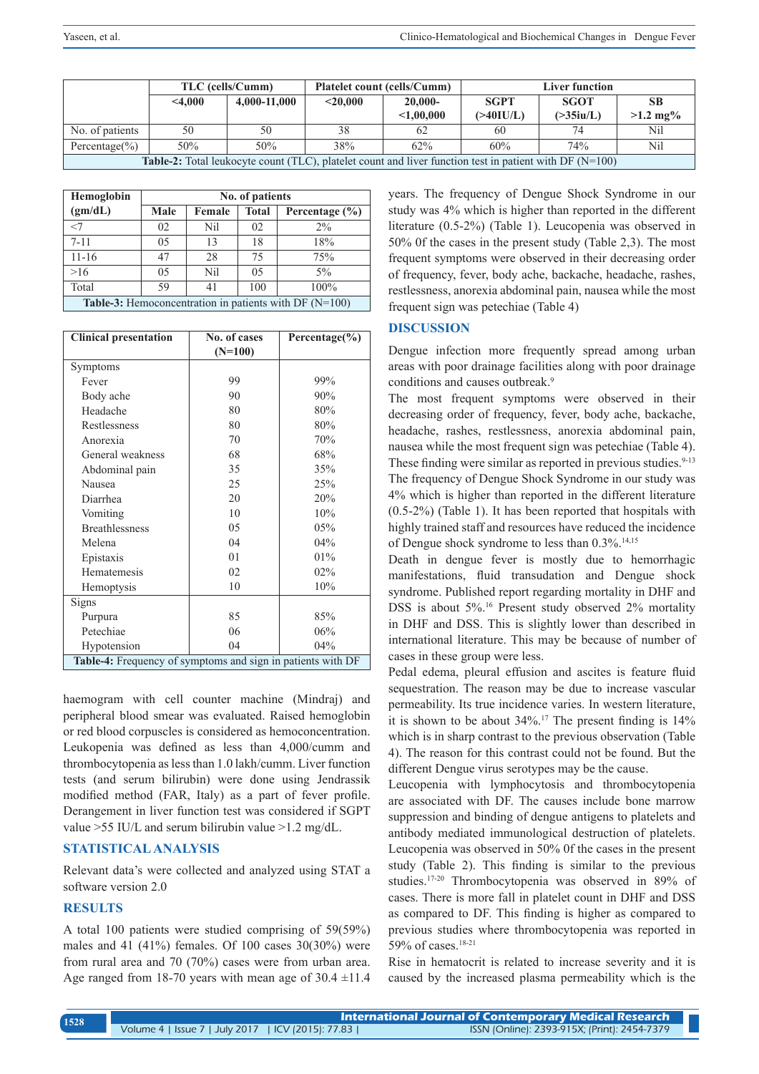|                                                                                                                    | TLC (cells/Cumm) |              | <b>Platelet count (cells/Cumm)</b> |            | Liver function |              |                     |
|--------------------------------------------------------------------------------------------------------------------|------------------|--------------|------------------------------------|------------|----------------|--------------|---------------------|
|                                                                                                                    | $<$ 4.000        | 4,000-11,000 | $<$ 20.000                         | $20.000 -$ | <b>SGPT</b>    | <b>SGOT</b>  | <b>SB</b>           |
|                                                                                                                    |                  |              |                                    | < 1,00,000 | $($ >40IU/L)   | $($ >35iu/L) | $>1.2 \text{ mg}$ % |
| No. of patients                                                                                                    | 50               | 50           | 38                                 | 62         | 60             |              | Nil                 |
| Percentage $(\% )$                                                                                                 | 50%              | 50%          | 38%                                | 62%        | 60%            | 74%          | Nil                 |
| <b>Table-2:</b> Total leukocyte count (TLC), platelet count and liver function test in patient with DF ( $N=100$ ) |                  |              |                                    |            |                |              |                     |

| Hemoglobin                                               | No. of patients |        |              |                    |
|----------------------------------------------------------|-----------------|--------|--------------|--------------------|
| (gm/dL)                                                  | Male            | Female | <b>Total</b> | Percentage $(\% )$ |
| $<$ 7                                                    | 02              | Nil    | 02           | $2\%$              |
| $7 - 11$                                                 | 05              | 13     | 18           | 18%                |
| $11 - 16$                                                | 47              | 28     | 75           | 75%                |
| >16                                                      | 05              | Nil    | 0.5          | $5\%$              |
| Total                                                    | 59              | 41     | 100          | 100%               |
| Table-3: Hemoconcentration in patients with DF $(N=100)$ |                 |        |              |                    |

| <b>Clinical presentation</b>                                | No. of cases<br>$(N=100)$ | Percentage $(\% )$ |  |  |
|-------------------------------------------------------------|---------------------------|--------------------|--|--|
| Symptoms                                                    |                           |                    |  |  |
| Fever                                                       | 99                        | 99%                |  |  |
| Body ache                                                   | 90                        | 90%                |  |  |
| Headache                                                    | 80                        | 80%                |  |  |
|                                                             |                           |                    |  |  |
| Restlessness                                                | 80                        | 80%                |  |  |
| Anorexia                                                    | 70                        | 70%                |  |  |
| General weakness                                            | 68                        | 68%                |  |  |
| Abdominal pain                                              | 35                        | 35%                |  |  |
| Nausea                                                      | 25                        | 25%                |  |  |
| Diarrhea                                                    | 20                        | 20%                |  |  |
| Vomiting                                                    | 10                        | 10%                |  |  |
| <b>Breathlessness</b>                                       | 05                        | 05%                |  |  |
| Melena                                                      | 04                        | 04%                |  |  |
| Epistaxis                                                   | 01                        | 01%                |  |  |
| Hematemesis                                                 | 02                        | 02%                |  |  |
| Hemoptysis                                                  | 10                        | 10%                |  |  |
| Signs                                                       |                           |                    |  |  |
| Purpura                                                     | 85                        | 85%                |  |  |
| Petechiae                                                   | 06                        | 06%                |  |  |
| Hypotension                                                 | 04                        | 04%                |  |  |
| Table-4: Frequency of symptoms and sign in patients with DF |                           |                    |  |  |

haemogram with cell counter machine (Mindraj) and peripheral blood smear was evaluated. Raised hemoglobin or red blood corpuscles is considered as hemoconcentration. Leukopenia was defined as less than 4,000/cumm and thrombocytopenia as less than 1.0 lakh/cumm. Liver function tests (and serum bilirubin) were done using Jendrassik modified method (FAR, Italy) as a part of fever profile. Derangement in liver function test was considered if SGPT value >55 IU/L and serum bilirubin value >1.2 mg/dL.

# **STATISTICAL ANALYSIS**

Relevant data's were collected and analyzed using STAT a software version 2.0

# **RESULTS**

A total 100 patients were studied comprising of 59(59%) males and 41  $(41\%)$  females. Of 100 cases 30 $(30\%)$  were from rural area and 70 (70%) cases were from urban area. Age ranged from 18-70 years with mean age of  $30.4 \pm 11.4$  years. The frequency of Dengue Shock Syndrome in our study was 4% which is higher than reported in the different literature (0.5-2%) (Table 1). Leucopenia was observed in 50% 0f the cases in the present study (Table 2,3). The most frequent symptoms were observed in their decreasing order of frequency, fever, body ache, backache, headache, rashes, restlessness, anorexia abdominal pain, nausea while the most frequent sign was petechiae (Table 4)

# **DISCUSSION**

Dengue infection more frequently spread among urban areas with poor drainage facilities along with poor drainage conditions and causes outbreak.<sup>9</sup>

The most frequent symptoms were observed in their decreasing order of frequency, fever, body ache, backache, headache, rashes, restlessness, anorexia abdominal pain, nausea while the most frequent sign was petechiae (Table 4). These finding were similar as reported in previous studies.<sup>9-13</sup> The frequency of Dengue Shock Syndrome in our study was 4% which is higher than reported in the different literature (0.5-2%) (Table 1). It has been reported that hospitals with highly trained staff and resources have reduced the incidence of Dengue shock syndrome to less than 0.3%.<sup>14,15</sup>

Death in dengue fever is mostly due to hemorrhagic manifestations, fluid transudation and Dengue shock syndrome. Published report regarding mortality in DHF and DSS is about 5%.16 Present study observed 2% mortality in DHF and DSS. This is slightly lower than described in international literature. This may be because of number of cases in these group were less.

Pedal edema, pleural effusion and ascites is feature fluid sequestration. The reason may be due to increase vascular permeability. Its true incidence varies. In western literature, it is shown to be about 34%.17 The present finding is 14% which is in sharp contrast to the previous observation (Table 4). The reason for this contrast could not be found. But the different Dengue virus serotypes may be the cause.

Leucopenia with lymphocytosis and thrombocytopenia are associated with DF. The causes include bone marrow suppression and binding of dengue antigens to platelets and antibody mediated immunological destruction of platelets. Leucopenia was observed in 50% 0f the cases in the present study (Table 2). This finding is similar to the previous studies.17-20 Thrombocytopenia was observed in 89% of cases. There is more fall in platelet count in DHF and DSS as compared to DF. This finding is higher as compared to previous studies where thrombocytopenia was reported in 59% of cases.<sup>18-21</sup>

Rise in hematocrit is related to increase severity and it is caused by the increased plasma permeability which is the